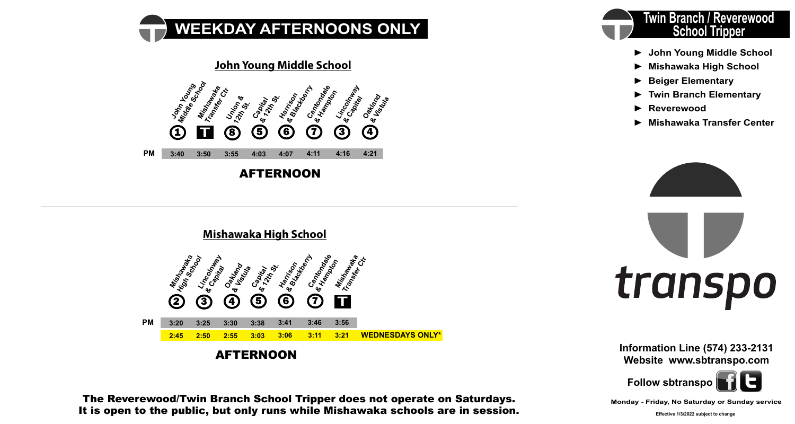





The Reverewood/Twin Branch School Tripper does not operate on Saturdays. It is open to the public, but only runs while Mishawaka schools are in session.



- **► John Young Middle School**
- **► Mishawaka High School**
- **► Beiger Elementary**
- **► Twin Branch Elementary**
- **► Reverewood**
- **► Mishawaka Transfer Center**





**Information Line (574) 233-2131 Website www.sbtranspo.com**

**Follow sbtranspo**

**Monday - Friday, No Saturday or Sunday service**

**Effective 1/3/2022 subject to change**